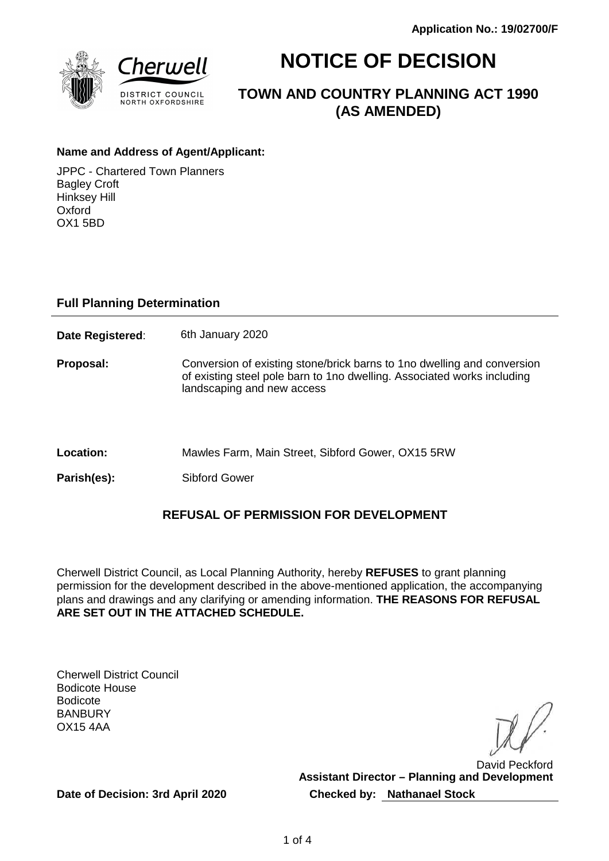

# **NOTICE OF DECISION**

**TOWN AND COUNTRY PLANNING ACT 1990 (AS AMENDED)**

## **Name and Address of Agent/Applicant:**

JPPC - Chartered Town Planners Bagley Croft Hinksey Hill Oxford OX1 5BD

## **Full Planning Determination**

**Date Registered:** 6th January 2020

**Proposal:** Conversion of existing stone/brick barns to 1no dwelling and conversion of existing steel pole barn to 1no dwelling. Associated works including landscaping and new access

**Location:** Mawles Farm, Main Street, Sibford Gower, OX15 5RW

Parish(es): Sibford Gower

## **REFUSAL OF PERMISSION FOR DEVELOPMENT**

Cherwell District Council, as Local Planning Authority, hereby **REFUSES** to grant planning permission for the development described in the above-mentioned application, the accompanying plans and drawings and any clarifying or amending information. **THE REASONS FOR REFUSAL ARE SET OUT IN THE ATTACHED SCHEDULE.**

Cherwell District Council Bodicote House Bodicote **BANBURY** OX15 4AA

David Peckford **Assistant Director – Planning and Development Checked by: Nathanael Stock**

**Date of Decision: 3rd April 2020**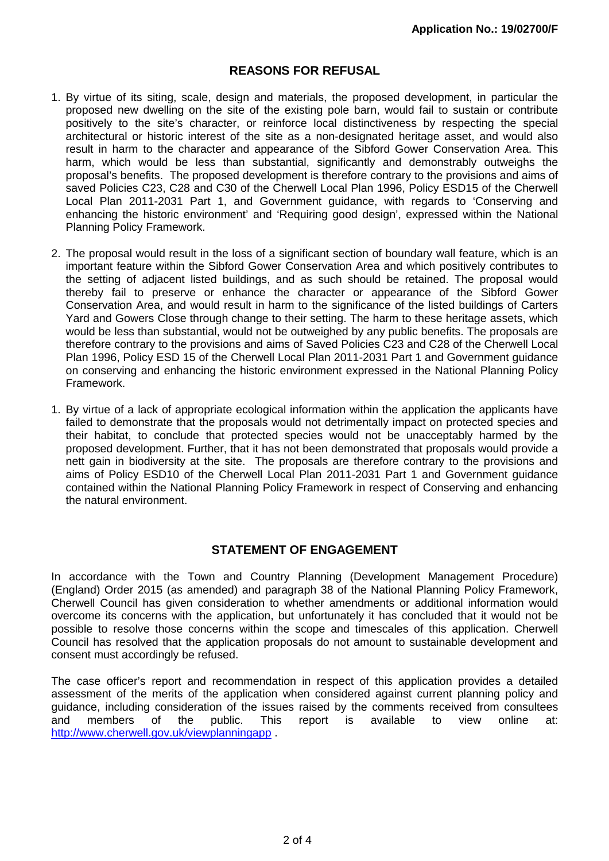## **REASONS FOR REFUSAL**

- 1. By virtue of its siting, scale, design and materials, the proposed development, in particular the proposed new dwelling on the site of the existing pole barn, would fail to sustain or contribute positively to the site's character, or reinforce local distinctiveness by respecting the special architectural or historic interest of the site as a non-designated heritage asset, and would also result in harm to the character and appearance of the Sibford Gower Conservation Area. This harm, which would be less than substantial, significantly and demonstrably outweighs the proposal's benefits. The proposed development is therefore contrary to the provisions and aims of saved Policies C23, C28 and C30 of the Cherwell Local Plan 1996, Policy ESD15 of the Cherwell Local Plan 2011-2031 Part 1, and Government guidance, with regards to 'Conserving and enhancing the historic environment' and 'Requiring good design', expressed within the National Planning Policy Framework.
- 2. The proposal would result in the loss of a significant section of boundary wall feature, which is an important feature within the Sibford Gower Conservation Area and which positively contributes to the setting of adjacent listed buildings, and as such should be retained. The proposal would thereby fail to preserve or enhance the character or appearance of the Sibford Gower Conservation Area, and would result in harm to the significance of the listed buildings of Carters Yard and Gowers Close through change to their setting. The harm to these heritage assets, which would be less than substantial, would not be outweighed by any public benefits. The proposals are therefore contrary to the provisions and aims of Saved Policies C23 and C28 of the Cherwell Local Plan 1996, Policy ESD 15 of the Cherwell Local Plan 2011-2031 Part 1 and Government guidance on conserving and enhancing the historic environment expressed in the National Planning Policy Framework.
- 1. By virtue of a lack of appropriate ecological information within the application the applicants have failed to demonstrate that the proposals would not detrimentally impact on protected species and their habitat, to conclude that protected species would not be unacceptably harmed by the proposed development. Further, that it has not been demonstrated that proposals would provide a nett gain in biodiversity at the site. The proposals are therefore contrary to the provisions and aims of Policy ESD10 of the Cherwell Local Plan 2011-2031 Part 1 and Government guidance contained within the National Planning Policy Framework in respect of Conserving and enhancing the natural environment.

## **STATEMENT OF ENGAGEMENT**

In accordance with the Town and Country Planning (Development Management Procedure) (England) Order 2015 (as amended) and paragraph 38 of the National Planning Policy Framework, Cherwell Council has given consideration to whether amendments or additional information would overcome its concerns with the application, but unfortunately it has concluded that it would not be possible to resolve those concerns within the scope and timescales of this application. Cherwell Council has resolved that the application proposals do not amount to sustainable development and consent must accordingly be refused.

The case officer's report and recommendation in respect of this application provides a detailed assessment of the merits of the application when considered against current planning policy and guidance, including consideration of the issues raised by the comments received from consultees and members of the public. This report is available to view online at: http://www.cherwell.gov.uk/viewplanningapp .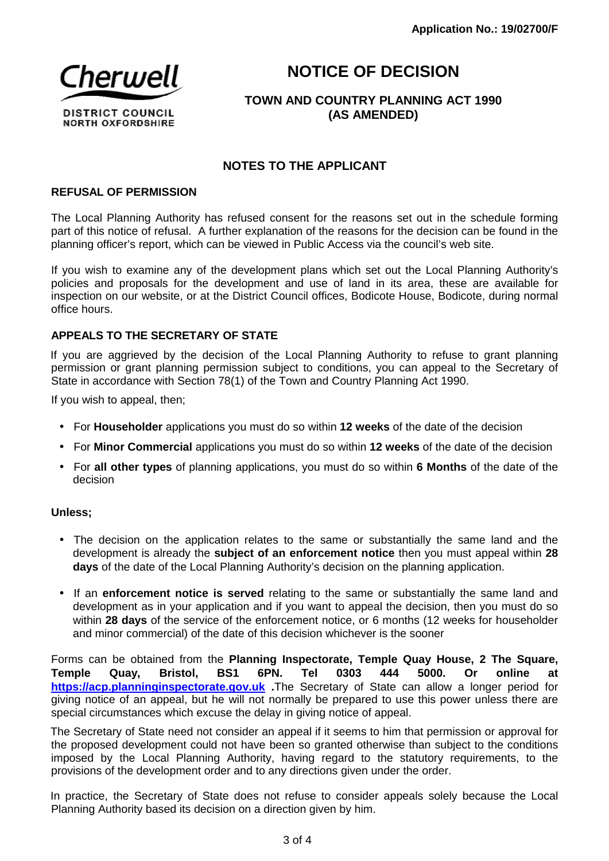

## **NOTICE OF DECISION**

## **TOWN AND COUNTRY PLANNING ACT 1990 (AS AMENDED)**

## **NOTES TO THE APPLICANT**

#### **REFUSAL OF PERMISSION**

The Local Planning Authority has refused consent for the reasons set out in the schedule forming part of this notice of refusal. A further explanation of the reasons for the decision can be found in the planning officer's report, which can be viewed in Public Access via the council's web site.

If you wish to examine any of the development plans which set out the Local Planning Authority's policies and proposals for the development and use of land in its area, these are available for inspection on our website, or at the District Council offices, Bodicote House, Bodicote, during normal office hours.

#### **APPEALS TO THE SECRETARY OF STATE**

If you are aggrieved by the decision of the Local Planning Authority to refuse to grant planning permission or grant planning permission subject to conditions, you can appeal to the Secretary of State in accordance with Section 78(1) of the Town and Country Planning Act 1990.

If you wish to appeal, then;

- For **Householder** applications you must do so within **12 weeks** of the date of the decision
- For **Minor Commercial** applications you must do so within **12 weeks** of the date of the decision
- For **all other types** of planning applications, you must do so within **6 Months** of the date of the decision

#### **Unless;**

- The decision on the application relates to the same or substantially the same land and the development is already the **subject of an enforcement notice** then you must appeal within **28 days** of the date of the Local Planning Authority's decision on the planning application.
- If an **enforcement notice is served** relating to the same or substantially the same land and development as in your application and if you want to appeal the decision, then you must do so within **28 days** of the service of the enforcement notice, or 6 months (12 weeks for householder and minor commercial) of the date of this decision whichever is the sooner

Forms can be obtained from the **Planning Inspectorate, Temple Quay House, 2 The Square, Temple Quay, Bristol, BS1 6PN. Tel 0303 444 5000. Or online at https://acp.planninginspectorate.gov.uk .**The Secretary of State can allow a longer period for giving notice of an appeal, but he will not normally be prepared to use this power unless there are special circumstances which excuse the delay in giving notice of appeal.

The Secretary of State need not consider an appeal if it seems to him that permission or approval for the proposed development could not have been so granted otherwise than subject to the conditions imposed by the Local Planning Authority, having regard to the statutory requirements, to the provisions of the development order and to any directions given under the order.

In practice, the Secretary of State does not refuse to consider appeals solely because the Local Planning Authority based its decision on a direction given by him.